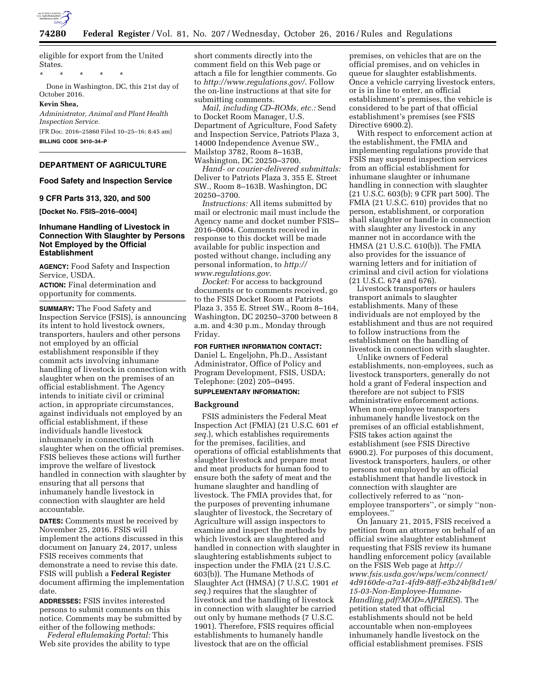

eligible for export from the United States.

\* \* \* \* \*

Done in Washington, DC, this 21st day of October 2016.

### **Kevin Shea,**

*Administrator, Animal and Plant Health Inspection Service.* 

[FR Doc. 2016–25860 Filed 10–25–16; 8:45 am] **BILLING CODE 3410–34–P** 

# **DEPARTMENT OF AGRICULTURE**

### **Food Safety and Inspection Service**

#### **9 CFR Parts 313, 320, and 500**

**[Docket No. FSIS–2016–0004]** 

# **Inhumane Handling of Livestock in Connection With Slaughter by Persons Not Employed by the Official Establishment**

**AGENCY:** Food Safety and Inspection Service, USDA.

**ACTION:** Final determination and opportunity for comments.

**SUMMARY:** The Food Safety and Inspection Service (FSIS), is announcing its intent to hold livestock owners, transporters, haulers and other persons not employed by an official establishment responsible if they commit acts involving inhumane handling of livestock in connection with slaughter when on the premises of an official establishment. The Agency intends to initiate civil or criminal action, in appropriate circumstances, against individuals not employed by an official establishment, if these individuals handle livestock inhumanely in connection with slaughter when on the official premises. FSIS believes these actions will further improve the welfare of livestock handled in connection with slaughter by ensuring that all persons that inhumanely handle livestock in connection with slaughter are held accountable.

**DATES:** Comments must be received by November 25, 2016. FSIS will implement the actions discussed in this document on January 24, 2017, unless FSIS receives comments that demonstrate a need to revise this date. FSIS will publish a **Federal Register**  document affirming the implementation date.

**ADDRESSES:** FSIS invites interested persons to submit comments on this notice. Comments may be submitted by either of the following methods:

*Federal eRulemaking Portal:* This Web site provides the ability to type short comments directly into the comment field on this Web page or attach a file for lengthier comments. Go to *<http://www.regulations.gov/>*. Follow the on-line instructions at that site for submitting comments.

*Mail, including CD–ROMs, etc.:* Send to Docket Room Manager, U.S. Department of Agriculture, Food Safety and Inspection Service, Patriots Plaza 3, 14000 Independence Avenue SW., Mailstop 3782, Room 8–163B, Washington, DC 20250–3700.

*Hand- or courier-delivered submittals:*  Deliver to Patriots Plaza 3, 355 E. Street SW., Room 8–163B. Washington, DC 20250–3700.

*Instructions:* All items submitted by mail or electronic mail must include the Agency name and docket number FSIS– 2016–0004. Comments received in response to this docket will be made available for public inspection and posted without change, including any personal information, to *[http://](http://www.regulations.gov) [www.regulations.gov](http://www.regulations.gov)*.

*Docket:* For access to background documents or to comments received, go to the FSIS Docket Room at Patriots Plaza 3, 355 E. Street SW., Room 8–164, Washington, DC 20250–3700 between 8 a.m. and 4:30 p.m., Monday through Friday.

**FOR FURTHER INFORMATION CONTACT:**  Daniel L. Engeljohn, Ph.D., Assistant Administrator, Office of Policy and Program Development, FSIS, USDA; Telephone: (202) 205–0495.

## **SUPPLEMENTARY INFORMATION:**

#### **Background**

FSIS administers the Federal Meat Inspection Act (FMIA) (21 U.S.C. 601 *et seq.*), which establishes requirements for the premises, facilities, and operations of official establishments that slaughter livestock and prepare meat and meat products for human food to ensure both the safety of meat and the humane slaughter and handling of livestock. The FMIA provides that, for the purposes of preventing inhumane slaughter of livestock, the Secretary of Agriculture will assign inspectors to examine and inspect the methods by which livestock are slaughtered and handled in connection with slaughter in slaughtering establishments subject to inspection under the FMIA (21 U.S.C. 603(b)). The Humane Methods of Slaughter Act (HMSA) (7 U.S.C. 1901 *et seq.*) requires that the slaughter of livestock and the handling of livestock in connection with slaughter be carried out only by humane methods (7 U.S.C. 1901). Therefore, FSIS requires official establishments to humanely handle livestock that are on the official

premises, on vehicles that are on the official premises, and on vehicles in queue for slaughter establishments. Once a vehicle carrying livestock enters, or is in line to enter, an official establishment's premises, the vehicle is considered to be part of that official establishment's premises (see FSIS Directive 6900.2).

With respect to enforcement action at the establishment, the FMIA and implementing regulations provide that FSIS may suspend inspection services from an official establishment for inhumane slaughter or inhumane handling in connection with slaughter (21 U.S.C. 603(b); 9 CFR part 500). The FMIA (21 U.S.C. 610) provides that no person, establishment, or corporation shall slaughter or handle in connection with slaughter any livestock in any manner not in accordance with the HMSA (21 U.S.C. 610(b)). The FMIA also provides for the issuance of warning letters and for initiation of criminal and civil action for violations (21 U.S.C. 674 and 676).

Livestock transporters or haulers transport animals to slaughter establishments. Many of these individuals are not employed by the establishment and thus are not required to follow instructions from the establishment on the handling of livestock in connection with slaughter.

Unlike owners of Federal establishments, non-employees, such as livestock transporters, generally do not hold a grant of Federal inspection and therefore are not subject to FSIS administrative enforcement actions. When non-employee transporters inhumanely handle livestock on the premises of an official establishment, FSIS takes action against the establishment (see FSIS Directive 6900.2). For purposes of this document, livestock transporters, haulers, or other persons not employed by an official establishment that handle livestock in connection with slaughter are collectively referred to as ''nonemployee transporters'', or simply ''nonemployees.''

On January 21, 2015, FSIS received a petition from an attorney on behalf of an official swine slaughter establishment requesting that FSIS review its humane handling enforcement policy (available on the FSIS Web page at *[http://](http://www.fsis.usda.gov/wps/wcm/connect/4d9160de-a7a1-4fd9-88ff-e3b24bf8d1e9/15-03-Non-Employee-Humane-Handling.pdf?MOD=AJPERES) [www.fsis.usda.gov/wps/wcm/connect/](http://www.fsis.usda.gov/wps/wcm/connect/4d9160de-a7a1-4fd9-88ff-e3b24bf8d1e9/15-03-Non-Employee-Humane-Handling.pdf?MOD=AJPERES) [4d9160de-a7a1-4fd9-88ff-e3b24bf8d1e9/](http://www.fsis.usda.gov/wps/wcm/connect/4d9160de-a7a1-4fd9-88ff-e3b24bf8d1e9/15-03-Non-Employee-Humane-Handling.pdf?MOD=AJPERES) [15-03-Non-Employee-Humane-](http://www.fsis.usda.gov/wps/wcm/connect/4d9160de-a7a1-4fd9-88ff-e3b24bf8d1e9/15-03-Non-Employee-Humane-Handling.pdf?MOD=AJPERES)[Handling.pdf?MOD=AJPERES](http://www.fsis.usda.gov/wps/wcm/connect/4d9160de-a7a1-4fd9-88ff-e3b24bf8d1e9/15-03-Non-Employee-Humane-Handling.pdf?MOD=AJPERES)*). The petition stated that official establishments should not be held accountable when non-employees inhumanely handle livestock on the official establishment premises. FSIS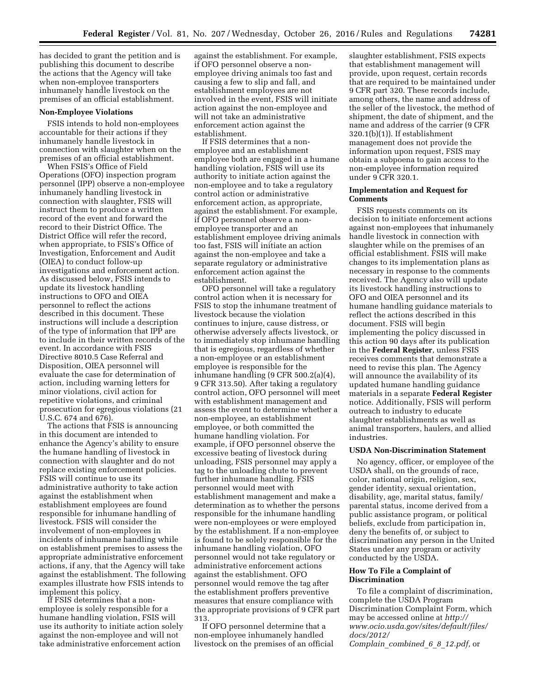has decided to grant the petition and is publishing this document to describe the actions that the Agency will take when non-employee transporters inhumanely handle livestock on the premises of an official establishment.

#### **Non-Employee Violations**

FSIS intends to hold non-employees accountable for their actions if they inhumanely handle livestock in connection with slaughter when on the premises of an official establishment.

When FSIS's Office of Field Operations (OFO) inspection program personnel (IPP) observe a non-employee inhumanely handling livestock in connection with slaughter, FSIS will instruct them to produce a written record of the event and forward the record to their District Office. The District Office will refer the record, when appropriate, to FSIS's Office of Investigation, Enforcement and Audit (OIEA) to conduct follow-up investigations and enforcement action. As discussed below, FSIS intends to update its livestock handling instructions to OFO and OIEA personnel to reflect the actions described in this document. These instructions will include a description of the type of information that IPP are to include in their written records of the event. In accordance with FSIS Directive 8010.5 Case Referral and Disposition, OIEA personnel will evaluate the case for determination of action, including warning letters for minor violations, civil action for repetitive violations, and criminal prosecution for egregious violations (21 U.S.C. 674 and 676).

The actions that FSIS is announcing in this document are intended to enhance the Agency's ability to ensure the humane handling of livestock in connection with slaughter and do not replace existing enforcement policies. FSIS will continue to use its administrative authority to take action against the establishment when establishment employees are found responsible for inhumane handling of livestock. FSIS will consider the involvement of non-employees in incidents of inhumane handling while on establishment premises to assess the appropriate administrative enforcement actions, if any, that the Agency will take against the establishment. The following examples illustrate how FSIS intends to implement this policy.

If FSIS determines that a nonemployee is solely responsible for a humane handling violation, FSIS will use its authority to initiate action solely against the non-employee and will not take administrative enforcement action

against the establishment. For example, if OFO personnel observe a nonemployee driving animals too fast and causing a few to slip and fall, and establishment employees are not involved in the event, FSIS will initiate action against the non-employee and will not take an administrative enforcement action against the establishment.

If FSIS determines that a nonemployee and an establishment employee both are engaged in a humane handling violation, FSIS will use its authority to initiate action against the non-employee and to take a regulatory control action or administrative enforcement action, as appropriate, against the establishment. For example, if OFO personnel observe a nonemployee transporter and an establishment employee driving animals too fast, FSIS will initiate an action against the non-employee and take a separate regulatory or administrative enforcement action against the establishment.

OFO personnel will take a regulatory control action when it is necessary for FSIS to stop the inhumane treatment of livestock because the violation continues to injure, cause distress, or otherwise adversely affects livestock, or to immediately stop inhumane handling that is egregious, regardless of whether a non-employee or an establishment employee is responsible for the inhumane handling (9 CFR 500.2(a)(4), 9 CFR 313.50). After taking a regulatory control action, OFO personnel will meet with establishment management and assess the event to determine whether a non-employee, an establishment employee, or both committed the humane handling violation. For example, if OFO personnel observe the excessive beating of livestock during unloading, FSIS personnel may apply a tag to the unloading chute to prevent further inhumane handling. FSIS personnel would meet with establishment management and make a determination as to whether the persons responsible for the inhumane handling were non-employees or were employed by the establishment. If a non-employee is found to be solely responsible for the inhumane handling violation, OFO personnel would not take regulatory or administrative enforcement actions against the establishment. OFO personnel would remove the tag after the establishment proffers preventive measures that ensure compliance with the appropriate provisions of 9 CFR part 313.

If OFO personnel determine that a non-employee inhumanely handled livestock on the premises of an official slaughter establishment, FSIS expects that establishment management will provide, upon request, certain records that are required to be maintained under 9 CFR part 320. These records include, among others, the name and address of the seller of the livestock, the method of shipment, the date of shipment, and the name and address of the carrier (9 CFR 320.1(b)(1)). If establishment management does not provide the information upon request, FSIS may obtain a subpoena to gain access to the non-employee information required under 9 CFR 320.1.

#### **Implementation and Request for Comments**

FSIS requests comments on its decision to initiate enforcement actions against non-employees that inhumanely handle livestock in connection with slaughter while on the premises of an official establishment. FSIS will make changes to its implementation plans as necessary in response to the comments received. The Agency also will update its livestock handling instructions to OFO and OIEA personnel and its humane handling guidance materials to reflect the actions described in this document. FSIS will begin implementing the policy discussed in this action 90 days after its publication in the **Federal Register**, unless FSIS receives comments that demonstrate a need to revise this plan. The Agency will announce the availability of its updated humane handling guidance materials in a separate **Federal Register**  notice. Additionally, FSIS will perform outreach to industry to educate slaughter establishments as well as animal transporters, haulers, and allied industries.

#### **USDA Non-Discrimination Statement**

No agency, officer, or employee of the USDA shall, on the grounds of race, color, national origin, religion, sex, gender identity, sexual orientation, disability, age, marital status, family/ parental status, income derived from a public assistance program, or political beliefs, exclude from participation in, deny the benefits of, or subject to discrimination any person in the United States under any program or activity conducted by the USDA.

## **How To File a Complaint of Discrimination**

To file a complaint of discrimination, complete the USDA Program Discrimination Complaint Form, which may be accessed online at *[http://](http://www.ocio.usda.gov/sites/default/files/docs/2012/Complain_combined_6_8_12.pdf)  [www.ocio.usda.gov/sites/default/files/](http://www.ocio.usda.gov/sites/default/files/docs/2012/Complain_combined_6_8_12.pdf) [docs/2012/](http://www.ocio.usda.gov/sites/default/files/docs/2012/Complain_combined_6_8_12.pdf)* 

*Complain*\_*[combined](http://www.ocio.usda.gov/sites/default/files/docs/2012/Complain_combined_6_8_12.pdf)*\_*6*\_*8*\_*12.pdf,* or